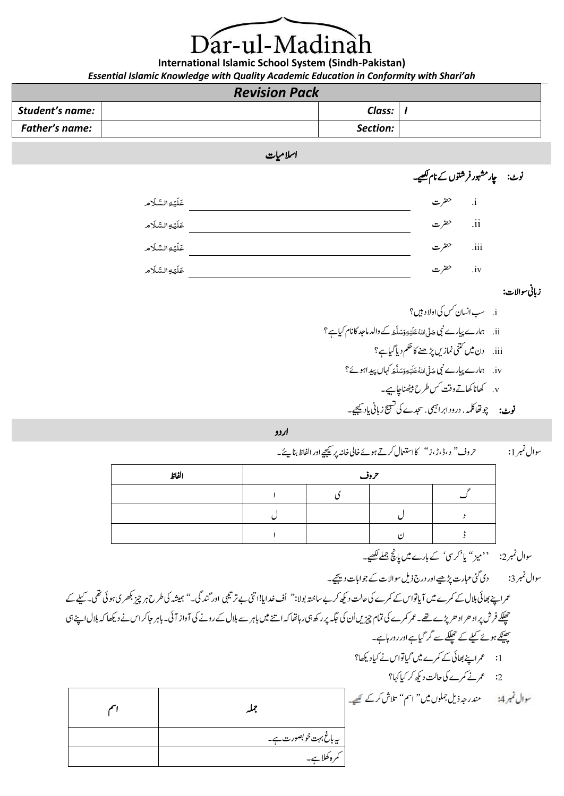## ar-ul-Madinah

**International Islamic School System (Sindh-Pakistan)** *Essential Islamic Knowledge with Quality Academic Education in Conformity with Shari'ah*

| <b>Revision Pack</b> |  |          |  |
|----------------------|--|----------|--|
| Student's name:      |  | Class:   |  |
| Father's name:       |  | Section: |  |

اسلامیات

نوٹ: یار مشہور فرشتوں کے نام <u>لکھ</u>ے۔



زابین وساالت:

i. بس انسان کس کی اولا د ہیں؟ ii. چهارے پیارے نبی حَدَّى اللَّهُ عَلَيْهِ وَسَلَّحَهُ كَ والد ماحبد كانام كياہے ؟ َ<u>ّ:</u> ُiii. دن میں کتنی نمازیں پڑھنے کا حکم دیا گیاہے؟ iv. ممارے پیارے نبی حَدَّى اللَّهُ عَلَيْهِ وَمَدلَّعَ كہال پيدِ اہوئ؟ **ّ** <u>ّ:</u> ُv. اھکان اھکےت وتق سک رطح انھٹیب اچےیہ۔ س16ص 67 نوٹ: چوتھاکلیہ، درود ابراہیمی، سجدے کی تسبیح زبانی مادیجیے۔

اردو

رحوف '' د ، ڈ ، ڑ ، ز '' ۔ وسال ربمن :1 <sup>ئ</sup> اک اامعتسل رکےت وہےئ اخیل اخہن رپ ےیجیک اور اافلظ انبیے

| الفاظ | یہ وقب |    |  |
|-------|--------|----|--|
|       |        |    |  |
|       |        |    |  |
|       |        | ۰. |  |

سوال نمبر2: ''میز'' یا 'کرس' کے بارے میں پانچ جملے کھیے۔

وسال ربمن :3 دی یئگ ابعرت ڑپےیھ اور درج ذلی وساالت ےک وجاابت دےیجی۔

عمراینے بھائی بلال کے کمرے میں آیاتواس کے کمرے کی حالت دیکھ کر بے ساختہ بولا:'' اُف غدایا!اتنی بے ترتیبی اور گندگی۔''<br>عمراینے بھائی بلال کے کمرے میں آیاتواس کے کمرے کی حالت دیکھ کر بے ساختہ بولادا اور کیلوگی۔'' ہمیشہ کی طر حفلکے فرش پراد ھراد ھریڑے تھے۔عمر کمرے کی تمام چیزیں اُن کی جگہ پر رکھ ہی رہاتھا کہ اس سے دونے کی آواز آئی۔ باہر جاکراس نے دیکھا کہ ہلال اپنے ہی چینکے ہوئے کیلے کے حیلکے سے گر گیاہے اور رور ہاہے۔ :1 عمرانے بھائی کے کمرے میں گیاتواس نے کیادیکھا؟ :<br>2: سمجرنے کمرے کی حالت دیکھ کر کیا کہا؟ دنمرہج ذلی ولمجں ںیم '' امس '' التش رک ےک

|  |                                 | مندرجہ ذیل جملوں میں'' اسم'' تلاش کرکے گھیے۔ |
|--|---------------------------------|----------------------------------------------|
|  | پیہا <i>غ بہت خو بصور</i> ت ہے۔ |                                              |
|  | رہ طلا ہے۔                      |                                              |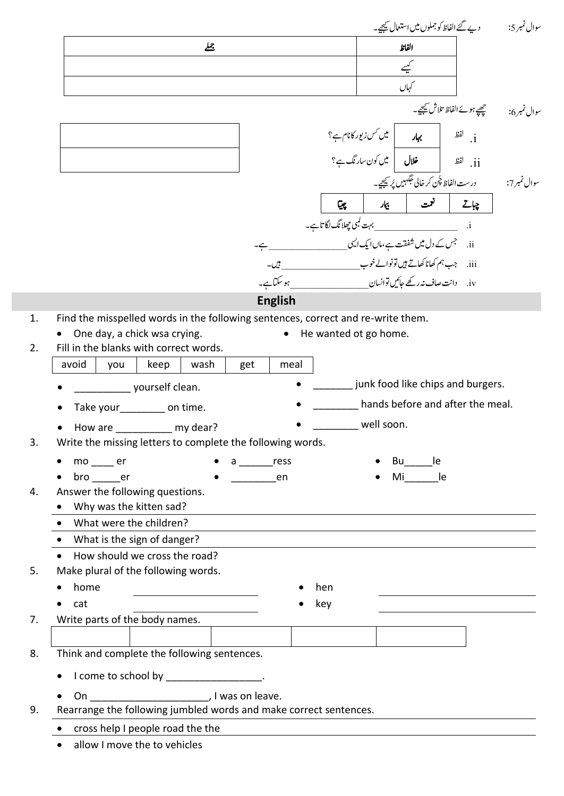|    |                                                                                                                      | سوال نمبر 5: `` دیے گئے الفاظ کوجملوں میں استعمال ﷺ۔                                          |
|----|----------------------------------------------------------------------------------------------------------------------|-----------------------------------------------------------------------------------------------|
|    | 丛                                                                                                                    | —<br>الفاظ                                                                                    |
|    |                                                                                                                      | کیسے                                                                                          |
|    |                                                                                                                      | کہاں                                                                                          |
|    |                                                                                                                      |                                                                                               |
|    |                                                                                                                      |                                                                                               |
|    |                                                                                                                      | i. لفظ <b>سے ہہار اپن</b> ی کس زیور کانام ہے؟<br>ii. لفظ <b>است خلال اپن</b> یں کون سارنگ ہے؟ |
|    |                                                                                                                      |                                                                                               |
|    |                                                                                                                      |                                                                                               |
|    | چیپا                                                                                                                 | چاتے <mark>  <sup>ت</sup>مت   بیمار  </mark>                                                  |
|    |                                                                                                                      |                                                                                               |
|    |                                                                                                                      |                                                                                               |
|    |                                                                                                                      |                                                                                               |
|    |                                                                                                                      | iv. دانت صاف نہ رکھے جائیں توانسان یہ مسلسلہ ہے۔ ہو سکتاہے۔                                   |
|    | <b>English</b>                                                                                                       |                                                                                               |
| 1. | Find the misspelled words in the following sentences, correct and re-write them.                                     |                                                                                               |
|    | One day, a chick wsa crying.<br>• He wanted ot go home.                                                              |                                                                                               |
| 2. | Fill in the blanks with correct words.                                                                               |                                                                                               |
|    | avoid<br>wash<br>you<br>keep<br>get<br>meal                                                                          |                                                                                               |
|    | yourself clean.                                                                                                      | junk food like chips and burgers.                                                             |
|    | Take your on time.                                                                                                   | hands before and after the meal.                                                              |
|    | well soon.<br>How are ___________ my dear?                                                                           |                                                                                               |
| 3. | Write the missing letters to complete the following words.                                                           |                                                                                               |
|    | $mo$ er<br>a ress                                                                                                    | Bu<br>le.                                                                                     |
| 4. | bro er<br>en<br>Answer the following questions.                                                                      | le<br>Mi                                                                                      |
|    | Why was the kitten sad?                                                                                              |                                                                                               |
|    | What were the children?                                                                                              |                                                                                               |
|    | What is the sign of danger?                                                                                          |                                                                                               |
|    | How should we cross the road?                                                                                        |                                                                                               |
| 5. | Make plural of the following words.                                                                                  |                                                                                               |
|    | home<br>hen                                                                                                          |                                                                                               |
|    | cat<br>key                                                                                                           |                                                                                               |
| 7. | Write parts of the body names.                                                                                       |                                                                                               |
|    |                                                                                                                      |                                                                                               |
| 8. | Think and complete the following sentences.                                                                          |                                                                                               |
|    | I come to school by _________________.                                                                               |                                                                                               |
|    | Letter Line and Line and Line and Line and Line and Line and Line and Line and Line and Line and Line and Line<br>On |                                                                                               |
| 9. | Rearrange the following jumbled words and make correct sentences.                                                    |                                                                                               |
|    | cross help I people road the the                                                                                     |                                                                                               |
|    | allow I move the to vehicles                                                                                         |                                                                                               |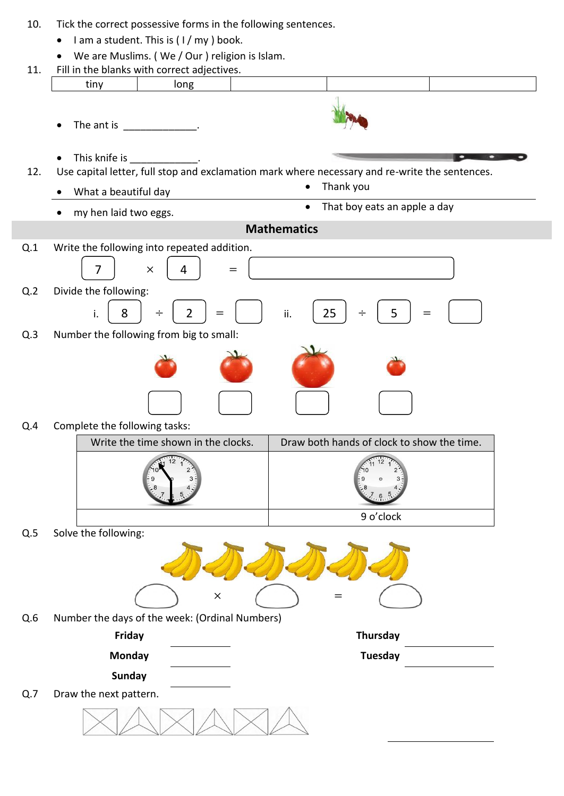| 10. | Tick the correct possessive forms in the following sentences. |                                                |                                                                                                |
|-----|---------------------------------------------------------------|------------------------------------------------|------------------------------------------------------------------------------------------------|
|     | I am a student. This is (I/my) book.                          |                                                |                                                                                                |
|     | We are Muslims. (We / Our ) religion is Islam.                |                                                |                                                                                                |
| 11. |                                                               | Fill in the blanks with correct adjectives.    |                                                                                                |
|     | tiny                                                          | long                                           |                                                                                                |
|     | The ant is _______________.                                   |                                                |                                                                                                |
|     | This knife is                                                 |                                                |                                                                                                |
| 12. |                                                               |                                                | Use capital letter, full stop and exclamation mark where necessary and re-write the sentences. |
|     | What a beautiful day                                          |                                                | Thank you                                                                                      |
|     | my hen laid two eggs.                                         |                                                | That boy eats an apple a day<br>$\bullet$                                                      |
|     |                                                               |                                                | <b>Mathematics</b>                                                                             |
| Q.1 |                                                               | Write the following into repeated addition.    |                                                                                                |
|     | $\overline{7}$                                                | 4<br>$\times$<br>$=$                           |                                                                                                |
| Q.2 | Divide the following:                                         |                                                |                                                                                                |
|     | 8<br>i.                                                       | $\overline{2}$<br>$\div$<br>$=$                | 25<br>5<br>ii.<br>$\div$<br>$=$                                                                |
| Q.3 | Number the following from big to small:                       |                                                |                                                                                                |
|     |                                                               |                                                |                                                                                                |
| Q.4 | Complete the following tasks:                                 | Write the time shown in the clocks.            | Draw both hands of clock to show the time.                                                     |
|     |                                                               |                                                | 9 o'clock                                                                                      |
| Q.5 | Solve the following:                                          |                                                |                                                                                                |
|     |                                                               |                                                |                                                                                                |
|     |                                                               | $\times$                                       |                                                                                                |
| Q.6 |                                                               | Number the days of the week: (Ordinal Numbers) |                                                                                                |
|     | Friday                                                        |                                                | Thursday                                                                                       |
|     | <b>Monday</b>                                                 |                                                | <b>Tuesday</b>                                                                                 |
|     | <b>Sunday</b>                                                 |                                                |                                                                                                |
| Q.7 | Draw the next pattern.                                        |                                                |                                                                                                |
|     |                                                               |                                                |                                                                                                |